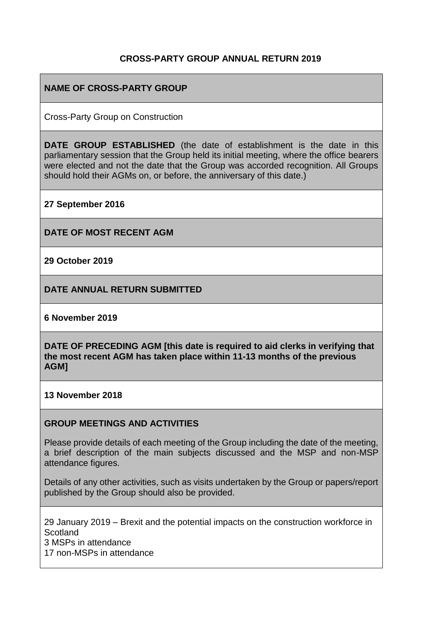### **CROSS-PARTY GROUP ANNUAL RETURN 2019**

### **NAME OF CROSS-PARTY GROUP**

Cross-Party Group on Construction

**DATE GROUP ESTABLISHED** (the date of establishment is the date in this parliamentary session that the Group held its initial meeting, where the office bearers were elected and not the date that the Group was accorded recognition. All Groups should hold their AGMs on, or before, the anniversary of this date.)

**27 September 2016**

**DATE OF MOST RECENT AGM**

**29 October 2019**

**DATE ANNUAL RETURN SUBMITTED**

**6 November 2019**

**DATE OF PRECEDING AGM [this date is required to aid clerks in verifying that the most recent AGM has taken place within 11-13 months of the previous AGM]**

**13 November 2018**

#### **GROUP MEETINGS AND ACTIVITIES**

Please provide details of each meeting of the Group including the date of the meeting, a brief description of the main subjects discussed and the MSP and non-MSP attendance figures.

Details of any other activities, such as visits undertaken by the Group or papers/report published by the Group should also be provided.

29 January 2019 – Brexit and the potential impacts on the construction workforce in **Scotland** 3 MSPs in attendance 17 non-MSPs in attendance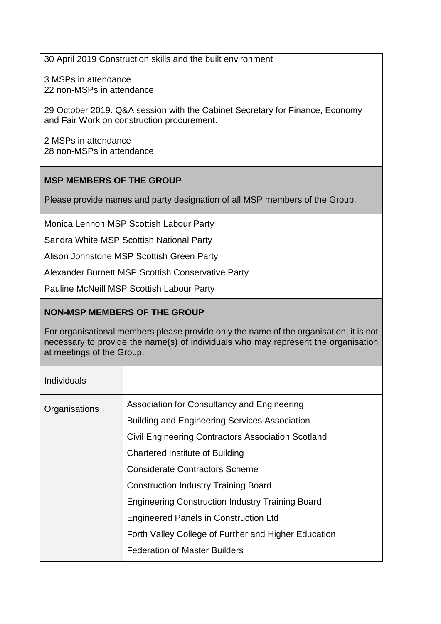30 April 2019 Construction skills and the built environment

3 MSPs in attendance 22 non-MSPs in attendance

29 October 2019. Q&A session with the Cabinet Secretary for Finance, Economy and Fair Work on construction procurement.

2 MSPs in attendance 28 non-MSPs in attendance

# **MSP MEMBERS OF THE GROUP**

Please provide names and party designation of all MSP members of the Group.

Monica Lennon MSP Scottish Labour Party

Sandra White MSP Scottish National Party

Alison Johnstone MSP Scottish Green Party

Alexander Burnett MSP Scottish Conservative Party

Pauline McNeill MSP Scottish Labour Party

# **NON-MSP MEMBERS OF THE GROUP**

For organisational members please provide only the name of the organisation, it is not necessary to provide the name(s) of individuals who may represent the organisation at meetings of the Group.

| Individuals   |                                                           |
|---------------|-----------------------------------------------------------|
| Organisations | Association for Consultancy and Engineering               |
|               | <b>Building and Engineering Services Association</b>      |
|               | <b>Civil Engineering Contractors Association Scotland</b> |
|               | <b>Chartered Institute of Building</b>                    |
|               | <b>Considerate Contractors Scheme</b>                     |
|               | <b>Construction Industry Training Board</b>               |
|               | <b>Engineering Construction Industry Training Board</b>   |
|               | <b>Engineered Panels in Construction Ltd</b>              |
|               | Forth Valley College of Further and Higher Education      |
|               | <b>Federation of Master Builders</b>                      |
|               |                                                           |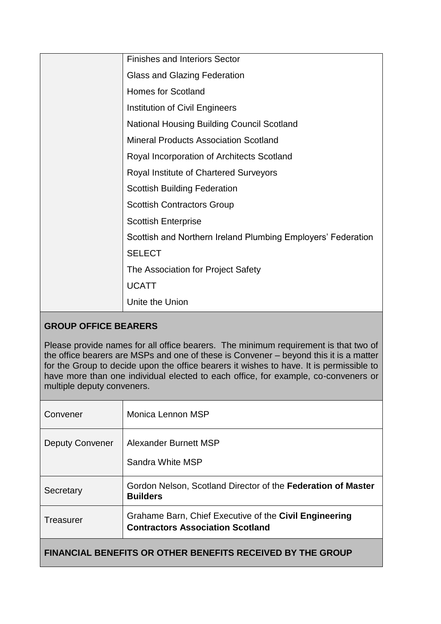| <b>Finishes and Interiors Sector</b>                         |
|--------------------------------------------------------------|
| <b>Glass and Glazing Federation</b>                          |
| <b>Homes for Scotland</b>                                    |
| Institution of Civil Engineers                               |
| <b>National Housing Building Council Scotland</b>            |
| <b>Mineral Products Association Scotland</b>                 |
| Royal Incorporation of Architects Scotland                   |
| Royal Institute of Chartered Surveyors                       |
| <b>Scottish Building Federation</b>                          |
| <b>Scottish Contractors Group</b>                            |
| <b>Scottish Enterprise</b>                                   |
| Scottish and Northern Ireland Plumbing Employers' Federation |
| <b>SELECT</b>                                                |
| The Association for Project Safety                           |
| <b>UCATT</b>                                                 |
| Unite the Union                                              |

# **GROUP OFFICE BEARERS**

Please provide names for all office bearers. The minimum requirement is that two of the office bearers are MSPs and one of these is Convener – beyond this it is a matter for the Group to decide upon the office bearers it wishes to have. It is permissible to have more than one individual elected to each office, for example, co-conveners or multiple deputy conveners.

| Convener                                                          | Monica Lennon MSP                                                                                 |  |
|-------------------------------------------------------------------|---------------------------------------------------------------------------------------------------|--|
| <b>Deputy Convener</b>                                            | Alexander Burnett MSP<br>Sandra White MSP                                                         |  |
| Secretary                                                         | Gordon Nelson, Scotland Director of the Federation of Master<br><b>Builders</b>                   |  |
| Treasurer                                                         | Grahame Barn, Chief Executive of the Civil Engineering<br><b>Contractors Association Scotland</b> |  |
| <b>FINANCIAL BENEFITS OR OTHER BENEFITS RECEIVED BY THE GROUP</b> |                                                                                                   |  |